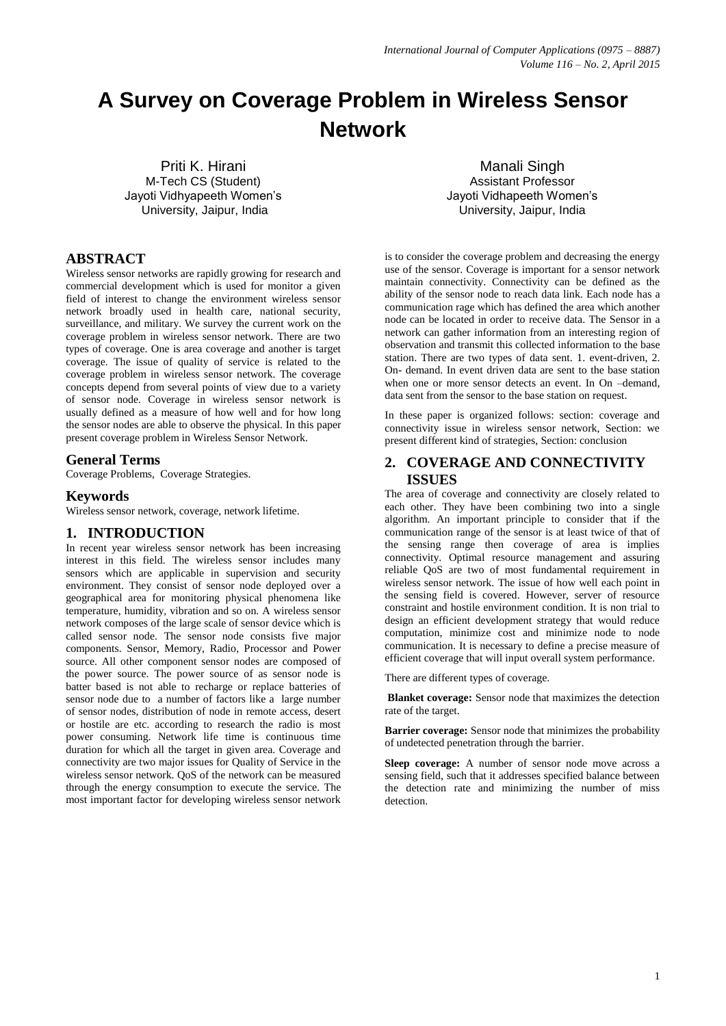# **A Survey on Coverage Problem in Wireless Sensor Network**

Priti K. Hirani M-Tech CS (Student) Jayoti Vidhyapeeth Women's University, Jaipur, India

Manali Singh Assistant Professor Jayoti Vidhapeeth Women's University, Jaipur, India

# **ABSTRACT**

Wireless sensor networks are rapidly growing for research and commercial development which is used for monitor a given field of interest to change the environment wireless sensor network broadly used in health care, national security, surveillance, and military. We survey the current work on the coverage problem in wireless sensor network. There are two types of coverage. One is area coverage and another is target coverage. The issue of quality of service is related to the coverage problem in wireless sensor network. The coverage concepts depend from several points of view due to a variety of sensor node. Coverage in wireless sensor network is usually defined as a measure of how well and for how long the sensor nodes are able to observe the physical. In this paper present coverage problem in Wireless Sensor Network.

## **General Terms**

Coverage Problems, Coverage Strategies.

## **Keywords**

Wireless sensor network, coverage, network lifetime.

## **1. INTRODUCTION**

In recent year wireless sensor network has been increasing interest in this field. The wireless sensor includes many sensors which are applicable in supervision and security environment. They consist of sensor node deployed over a geographical area for monitoring physical phenomena like temperature, humidity*,* vibration and so on. A wireless sensor network composes of the large scale of sensor device which is called sensor node. The sensor node consists five major components. Sensor, Memory, Radio, Processor and Power source. All other component sensor nodes are composed of the power source. The power source of as sensor node is batter based is not able to recharge or replace batteries of sensor node due to a number of factors like a large number of sensor nodes, distribution of node in remote access, desert or hostile are etc. according to research the radio is most power consuming. Network life time is continuous time duration for which all the target in given area. Coverage and connectivity are two major issues for Quality of Service in the wireless sensor network. QoS of the network can be measured through the energy consumption to execute the service. The most important factor for developing wireless sensor network

is to consider the coverage problem and decreasing the energy use of the sensor. Coverage is important for a sensor network maintain connectivity. Connectivity can be defined as the ability of the sensor node to reach data link. Each node has a communication rage which has defined the area which another node can be located in order to receive data. The Sensor in a network can gather information from an interesting region of observation and transmit this collected information to the base station. There are two types of data sent. 1. event-driven, 2. On- demand. In event driven data are sent to the base station when one or more sensor detects an event. In On –demand, data sent from the sensor to the base station on request.

In these paper is organized follows: section: coverage and connectivity issue in wireless sensor network, Section: we present different kind of strategies, Section: conclusion

## **2. COVERAGE AND CONNECTIVITY ISSUES**

The area of coverage and connectivity are closely related to each other. They have been combining two into a single algorithm. An important principle to consider that if the communication range of the sensor is at least twice of that of the sensing range then coverage of area is implies connectivity. Optimal resource management and assuring reliable QoS are two of most fundamental requirement in wireless sensor network. The issue of how well each point in the sensing field is covered. However, server of resource constraint and hostile environment condition. It is non trial to design an efficient development strategy that would reduce computation, minimize cost and minimize node to node communication. It is necessary to define a precise measure of efficient coverage that will input overall system performance.

There are different types of coverage.

**Blanket coverage:** Sensor node that maximizes the detection rate of the target.

**Barrier coverage:** Sensor node that minimizes the probability of undetected penetration through the barrier.

**Sleep coverage:** A number of sensor node move across a sensing field, such that it addresses specified balance between the detection rate and minimizing the number of miss detection.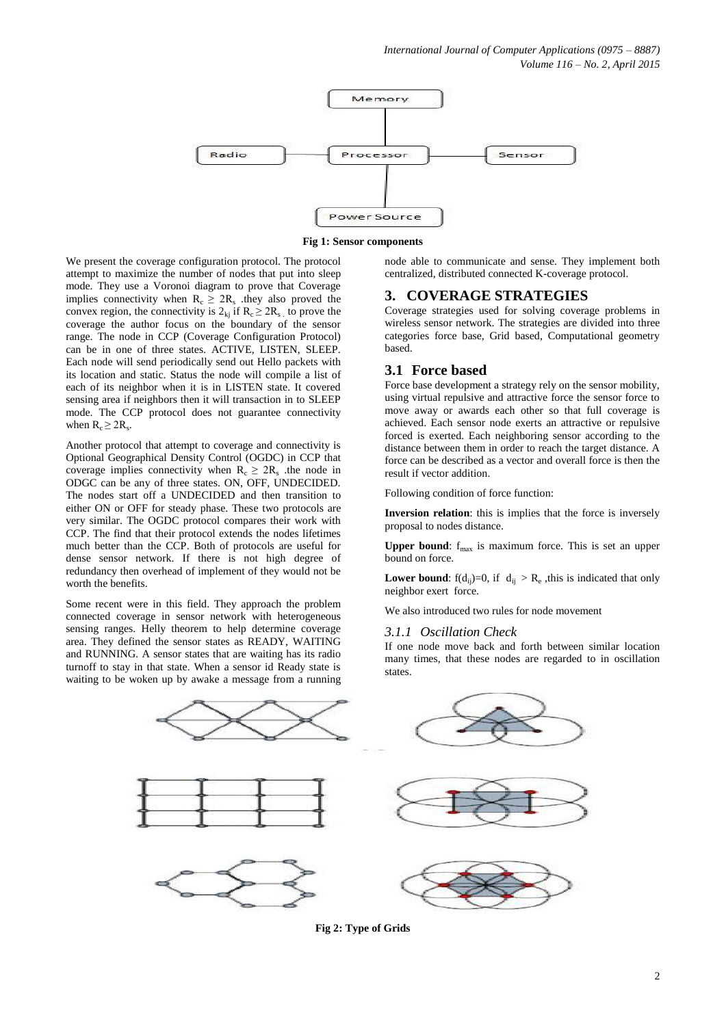

**Fig 1: Sensor components**

We present the coverage configuration protocol. The protocol attempt to maximize the number of nodes that put into sleep mode. They use a Voronoi diagram to prove that Coverage implies connectivity when  $R_c \geq 2R_s$  they also proved the convex region, the connectivity is  $2_{kj}$  if  $R_c \geq 2R_s$ , to prove the coverage the author focus on the boundary of the sensor range. The node in CCP (Coverage Configuration Protocol) can be in one of three states. ACTIVE, LISTEN, SLEEP. Each node will send periodically send out Hello packets with its location and static. Status the node will compile a list of each of its neighbor when it is in LISTEN state. It covered sensing area if neighbors then it will transaction in to SLEEP mode. The CCP protocol does not guarantee connectivity when  $R_c \geq 2R_s$ .

Another protocol that attempt to coverage and connectivity is Optional Geographical Density Control (OGDC) in CCP that coverage implies connectivity when  $R_c \geq 2R_s$  the node in ODGC can be any of three states. ON, OFF, UNDECIDED. The nodes start off a UNDECIDED and then transition to either ON or OFF for steady phase. These two protocols are very similar. The OGDC protocol compares their work with CCP. The find that their protocol extends the nodes lifetimes much better than the CCP. Both of protocols are useful for dense sensor network. If there is not high degree of redundancy then overhead of implement of they would not be worth the benefits.

Some recent were in this field. They approach the problem connected coverage in sensor network with heterogeneous sensing ranges. Helly theorem to help determine coverage area. They defined the sensor states as READY, WAITING and RUNNING. A sensor states that are waiting has its radio turnoff to stay in that state. When a sensor id Ready state is waiting to be woken up by awake a message from a running

node able to communicate and sense. They implement both centralized, distributed connected K-coverage protocol.

## **3. COVERAGE STRATEGIES**

Coverage strategies used for solving coverage problems in wireless sensor network. The strategies are divided into three categories force base, Grid based, Computational geometry based.

## **3.1 Force based**

Force base development a strategy rely on the sensor mobility, using virtual repulsive and attractive force the sensor force to move away or awards each other so that full coverage is achieved. Each sensor node exerts an attractive or repulsive forced is exerted. Each neighboring sensor according to the distance between them in order to reach the target distance. A force can be described as a vector and overall force is then the result if vector addition.

Following condition of force function:

**Inversion relation**: this is implies that the force is inversely proposal to nodes distance.

**Upper bound:**  $f_{\text{max}}$  is maximum force. This is set an upper bound on force.

**Lower bound**:  $f(d_{ij})=0$ , if  $d_{ij} > R_e$ , this is indicated that only neighbor exert force.

We also introduced two rules for node movement

#### *3.1.1 Oscillation Check*

If one node move back and forth between similar location many times, that these nodes are regarded to in oscillation states.



**Fig 2: Type of Grids**